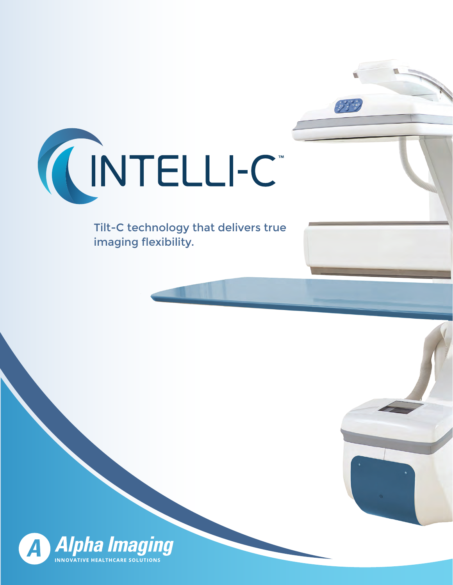

Tilt-C technology that delivers true imaging flexibility.

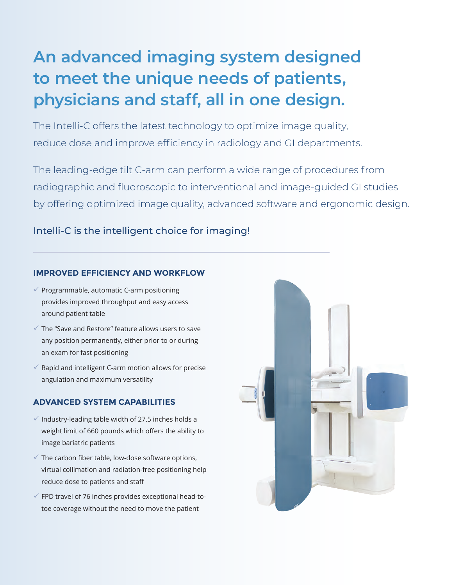# **An advanced imaging system designed to meet the unique needs of patients, physicians and staff, all in one design.**

The Intelli-C offers the latest technology to optimize image quality, reduce dose and improve efficiency in radiology and GI departments.

The leading-edge tilt C-arm can perform a wide range of procedures from radiographic and fluoroscopic to interventional and image-guided GI studies by offering optimized image quality, advanced software and ergonomic design.

# Intelli-C is the intelligent choice for imaging!

#### **IMPROVED EFFICIENCY AND WORKFLOW**

- $\checkmark$  Programmable, automatic C-arm positioning provides improved throughput and easy access around patient table
- $\checkmark$  The "Save and Restore" feature allows users to save any position permanently, either prior to or during an exam for fast positioning
- $\checkmark$  Rapid and intelligent C-arm motion allows for precise angulation and maximum versatility

# **ADVANCED SYSTEM CAPABILITIES**

- $\checkmark$  Industry-leading table width of 27.5 inches holds a weight limit of 660 pounds which offers the ability to image bariatric patients
- $\checkmark$  The carbon fiber table, low-dose software options, virtual collimation and radiation-free positioning help reduce dose to patients and staff
- $\checkmark$  FPD travel of 76 inches provides exceptional head-totoe coverage without the need to move the patient

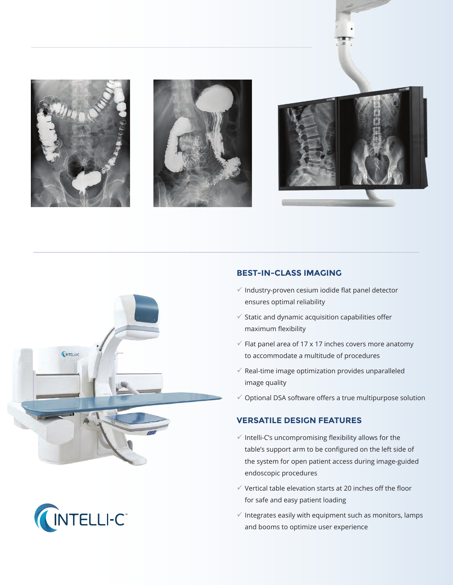









## **BEST-IN-CLASS IMAGING**

- $\checkmark$  Industry-proven cesium iodide flat panel detector ensures optimal reliability
- $\checkmark$  Static and dynamic acquisition capabilities offer maximum flexibility
- $\checkmark$  Flat panel area of 17 x 17 inches covers more anatomy to accommodate a multitude of procedures
- $\checkmark$  Real-time image optimization provides unparalleled image quality
- $\checkmark$  Optional DSA software offers a true multipurpose solution

# **VERSATILE DESIGN FEATURES**

- $\checkmark$  Intelli-C's uncompromising flexibility allows for the table's support arm to be configured on the left side of the system for open patient access during image-guided endoscopic procedures
- $\checkmark$  Vertical table elevation starts at 20 inches off the floor for safe and easy patient loading
- $\checkmark$  Integrates easily with equipment such as monitors, lamps and booms to optimize user experience